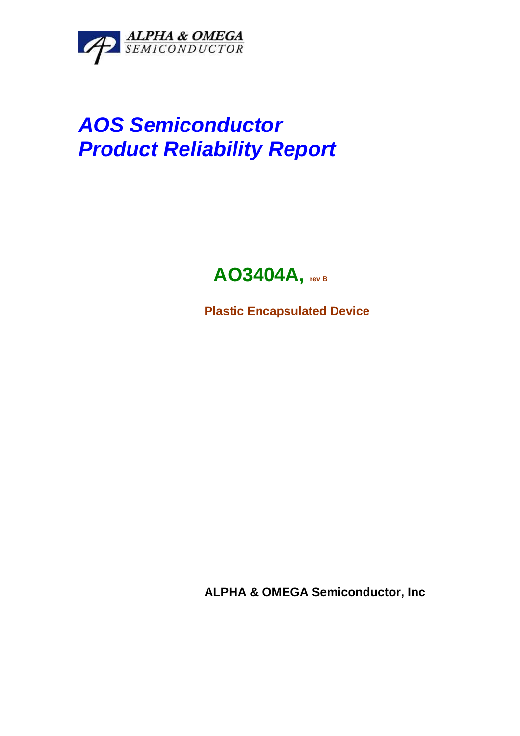

# **AOS Semiconductor Product Reliability Report**

## **AO3404A, rev B**

**Plastic Encapsulated Device** 

**ALPHA & OMEGA Semiconductor, Inc**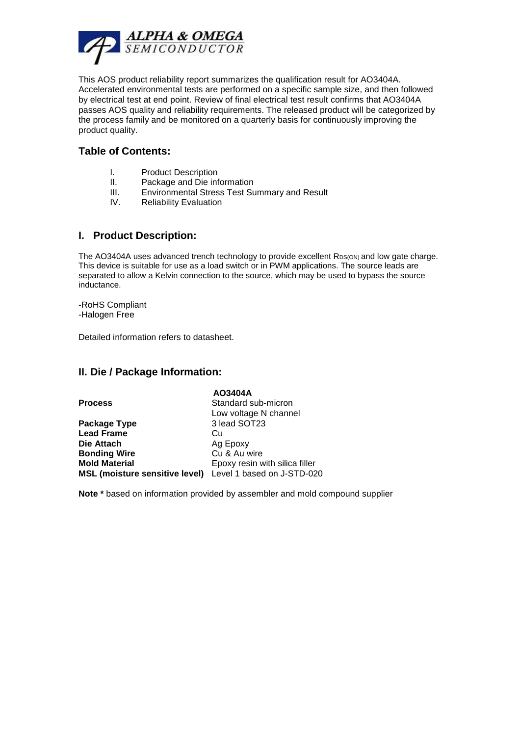

This AOS product reliability report summarizes the qualification result for AO3404A. Accelerated environmental tests are performed on a specific sample size, and then followed by electrical test at end point. Review of final electrical test result confirms that AO3404A passes AOS quality and reliability requirements. The released product will be categorized by the process family and be monitored on a quarterly basis for continuously improving the product quality.

#### **Table of Contents:**

- I. Product Description
- II. Package and Die information
- III. Environmental Stress Test Summary and Result
- IV. Reliability Evaluation

#### **I. Product Description:**

The AO3404A uses advanced trench technology to provide excellent RDS(ON) and low gate charge. This device is suitable for use as a load switch or in PWM applications. The source leads are separated to allow a Kelvin connection to the source, which may be used to bypass the source inductance.

-RoHS Compliant -Halogen Free

Detailed information refers to datasheet.

#### **II. Die / Package Information:**

|                                                           | AO3404A                        |
|-----------------------------------------------------------|--------------------------------|
| <b>Process</b>                                            | Standard sub-micron            |
|                                                           | Low voltage N channel          |
| Package Type                                              | 3 lead SOT23                   |
| <b>Lead Frame</b>                                         | Cu                             |
| Die Attach                                                | Ag Epoxy                       |
| <b>Bonding Wire</b>                                       | Cu & Au wire                   |
| <b>Mold Material</b>                                      | Epoxy resin with silica filler |
| MSL (moisture sensitive level) Level 1 based on J-STD-020 |                                |

**Note \*** based on information provided by assembler and mold compound supplier